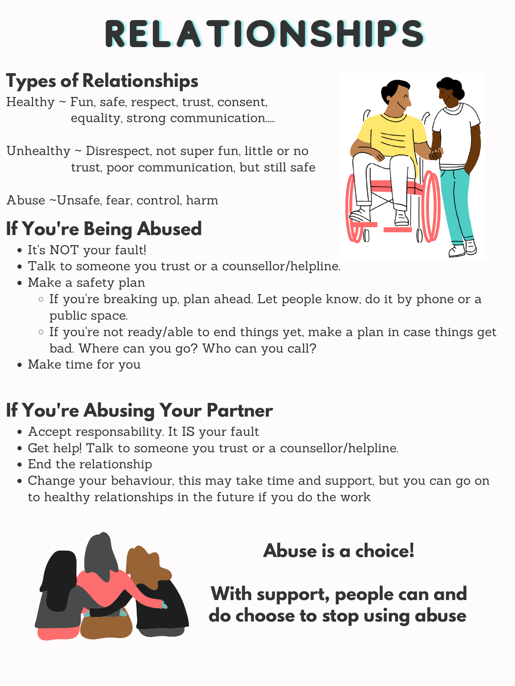# RELATIONSHIPS

# **Types of Relationships**

- Healthy ~ Fun, safe, respect, trust, consent, equality, strong communication.....
- Unhealthy  $\sim$  Disrespect, not super fun, little or no trust, poor communication, but still safe
- Abuse ~Unsafe, fear, control, harm

- It's NOT your fault!
- Talk to someone you trust or a counsellor/helpline.
- Make a safety plan
	- If you 're breaking up, plan ahead. Let people know, do it by phone or a public space.
	- If you 're not ready/able to end things yet, make a plan in case things get bad. Where can you go? Who can you call?



• Make time for you

### **If You're Being Abused**

- Accept responsability. It IS your fault
- Get help! Talk to someone you trust or a counsellor/helpline.
- End the relationship
- Change your behaviour, this may take time and support, but you can go on to healthy relationships in the future if you do the work



#### **If You're Abusing Your Partner**

#### **Abuse is a choice!**

**With support, people can and do choose to stop using abuse**